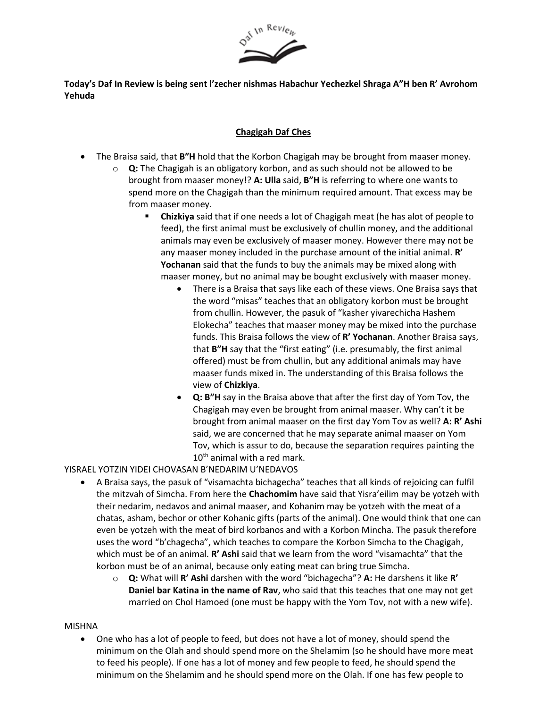

**Today's Daf In Review is being sent l'zecher nishmas Habachur Yechezkel Shraga A"H ben R' Avrohom Yehuda**

## **Chagigah Daf Ches**

- The Braisa said, that **B"H** hold that the Korbon Chagigah may be brought from maaser money.
	- o **Q:** The Chagigah is an obligatory korbon, and as such should not be allowed to be brought from maaser money!? **A: Ulla** said, **B"H** is referring to where one wants to spend more on the Chagigah than the minimum required amount. That excess may be from maaser money.
		- **Chizkiya** said that if one needs a lot of Chagigah meat (he has alot of people to feed), the first animal must be exclusively of chullin money, and the additional animals may even be exclusively of maaser money. However there may not be any maaser money included in the purchase amount of the initial animal. **R' Yochanan** said that the funds to buy the animals may be mixed along with maaser money, but no animal may be bought exclusively with maaser money.
			- There is a Braisa that says like each of these views. One Braisa says that the word "misas" teaches that an obligatory korbon must be brought from chullin. However, the pasuk of "kasher yivarechicha Hashem Elokecha" teaches that maaser money may be mixed into the purchase funds. This Braisa follows the view of **R' Yochanan**. Another Braisa says, that **B"H** say that the "first eating" (i.e. presumably, the first animal offered) must be from chullin, but any additional animals may have maaser funds mixed in. The understanding of this Braisa follows the view of **Chizkiya**.
			- **Q: B"H** say in the Braisa above that after the first day of Yom Tov, the Chagigah may even be brought from animal maaser. Why can't it be brought from animal maaser on the first day Yom Tov as well? **A: R' Ashi** said, we are concerned that he may separate animal maaser on Yom Tov, which is assur to do, because the separation requires painting the  $10<sup>th</sup>$  animal with a red mark.

YISRAEL YOTZIN YIDEI CHOVASAN B'NEDARIM U'NEDAVOS

- A Braisa says, the pasuk of "visamachta bichagecha" teaches that all kinds of rejoicing can fulfil the mitzvah of Simcha. From here the **Chachomim** have said that Yisra'eilim may be yotzeh with their nedarim, nedavos and animal maaser, and Kohanim may be yotzeh with the meat of a chatas, asham, bechor or other Kohanic gifts (parts of the animal). One would think that one can even be yotzeh with the meat of bird korbanos and with a Korbon Mincha. The pasuk therefore uses the word "b'chagecha", which teaches to compare the Korbon Simcha to the Chagigah, which must be of an animal. **R' Ashi** said that we learn from the word "visamachta" that the korbon must be of an animal, because only eating meat can bring true Simcha.
	- o **Q:** What will **R' Ashi** darshen with the word "bichagecha"? **A:** He darshens it like **R' Daniel bar Katina in the name of Rav**, who said that this teaches that one may not get married on Chol Hamoed (one must be happy with the Yom Tov, not with a new wife).

## MISHNA

• One who has a lot of people to feed, but does not have a lot of money, should spend the minimum on the Olah and should spend more on the Shelamim (so he should have more meat to feed his people). If one has a lot of money and few people to feed, he should spend the minimum on the Shelamim and he should spend more on the Olah. If one has few people to